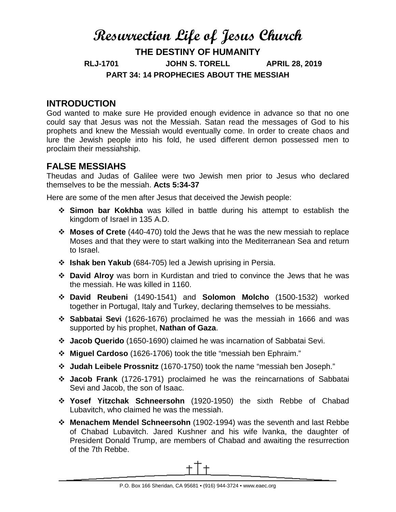# **Resurrection Life of Jesus Church THE DESTINY OF HUMANITY RLJ-1701 JOHN S. TORELL APRIL 28, 2019 PART 34: 14 PROPHECIES ABOUT THE MESSIAH**

### **INTRODUCTION**

God wanted to make sure He provided enough evidence in advance so that no one could say that Jesus was not the Messiah. Satan read the messages of God to his prophets and knew the Messiah would eventually come. In order to create chaos and lure the Jewish people into his fold, he used different demon possessed men to proclaim their messiahship.

## **FALSE MESSIAHS**

Theudas and Judas of Galilee were two Jewish men prior to Jesus who declared themselves to be the messiah. **Acts 5:34-37**

Here are some of the men after Jesus that deceived the Jewish people:

- **Simon bar Kokhba** was killed in battle during his attempt to establish the kingdom of Israel in 135 A.D.
- **Moses of Crete** (440-470) told the Jews that he was the new messiah to replace Moses and that they were to start walking into the Mediterranean Sea and return to Israel.
- **Ishak ben Yakub** (684-705) led a Jewish uprising in Persia.
- **David Alroy** was born in Kurdistan and tried to convince the Jews that he was the messiah. He was killed in 1160.
- **David Reubeni** (1490-1541) and **Solomon Molcho** (1500-1532) worked together in Portugal, Italy and Turkey, declaring themselves to be messiahs.
- **Sabbatai Sevi** (1626-1676) proclaimed he was the messiah in 1666 and was supported by his prophet, **Nathan of Gaza**.
- **Jacob Querido** (1650-1690) claimed he was incarnation of Sabbatai Sevi.
- **Miguel Cardoso** (1626-1706) took the title "messiah ben Ephraim."
- **Judah Leibele Prossnitz** (1670-1750) took the name "messiah ben Joseph."
- **Jacob Frank** (1726-1791) proclaimed he was the reincarnations of Sabbatai Sevi and Jacob, the son of Isaac.
- **Yosef Yitzchak Schneersohn** (1920-1950) the sixth Rebbe of Chabad Lubavitch, who claimed he was the messiah.
- **Menachem Mendel Schneersohn** (1902-1994) was the seventh and last Rebbe of Chabad Lubavitch. Jared Kushner and his wife lvanka, the daughter of President Donald Trump, are members of Chabad and awaiting the resurrection of the 7th Rebbe.